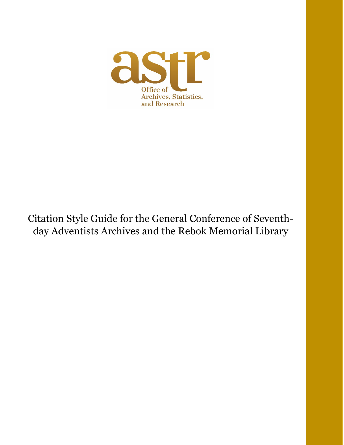

# Citation Style Guide for the General Conference of Seventhday Adventists Archives and the Rebok Memorial Library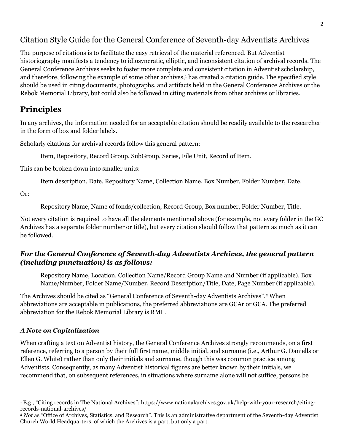# Citation Style Guide for the General Conference of Seventh-day Adventists Archives

The purpose of citations is to facilitate the easy retrieval of the material referenced. But Adventist historiography manifests a tendency to idiosyncratic, elliptic, and inconsistent citation of archival records. The General Conference Archives seeks to foster more complete and consistent citation in Adventist scholarship, and therefore, following the example of some other archives,<sup>[1](#page-1-0)</sup> has created a citation guide. The specified style should be used in citing documents, photographs, and artifacts held in the General Conference Archives or the Rebok Memorial Library, but could also be followed in citing materials from other archives or libraries.

# **Principles**

In any archives, the information needed for an acceptable citation should be readily available to the researcher in the form of box and folder labels.

Scholarly citations for archival records follow this general pattern:

Item, Repository, Record Group, SubGroup, Series, File Unit, Record of Item.

This can be broken down into smaller units:

Item description, Date, Repository Name, Collection Name, Box Number, Folder Number, Date.

Or:

Repository Name, Name of fonds/collection, Record Group, Box number, Folder Number, Title.

Not every citation is required to have all the elements mentioned above (for example, not every folder in the GC Archives has a separate folder number or title), but every citation should follow that pattern as much as it can be followed.

## *For the General Conference of Seventh-day Adventists Archives, the general pattern (including punctuation) is as follows:*

Repository Name, Location. Collection Name/Record Group Name and Number (if applicable). Box Name/Number, Folder Name/Number, Record Description/Title, Date, Page Number (if applicable).

The Archives should be cited as "General Conference of Seventh-day Adventists Archives".[2](#page-1-1) When abbreviations are acceptable in publications, the preferred abbreviations are GCAr or GCA. The preferred abbreviation for the Rebok Memorial Library is RML.

## *A Note on Capitalization*

When crafting a text on Adventist history, the General Conference Archives strongly recommends, on a first reference, referring to a person by their full first name, middle initial, and surname (i.e., Arthur G. Daniells or Ellen G. White) rather than only their initials and surname, though this was common practice among Adventists. Consequently, as many Adventist historical figures are better known by their initials, we recommend that, on subsequent references, in situations where surname alone will not suffice, persons be

<span id="page-1-0"></span><sup>1</sup> E.g., "Citing records in The National Archives": https://www.nationalarchives.gov.uk/help-with-your-research/citingrecords-national-archives/

<span id="page-1-1"></span><sup>&</sup>lt;sup>2</sup> *Not* as "Office of Archives, Statistics, and Research". This is an administrative department of the Seventh-day Adventist Church World Headquarters, of which the Archives is a part, but only a part.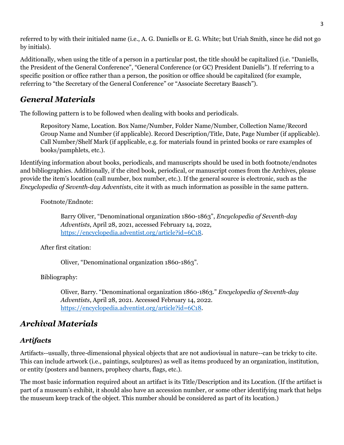referred to by with their initialed name (i.e., A. G. Daniells or E. G. White; but Uriah Smith, since he did not go by initials).

Additionally, when using the title of a person in a particular post, the title should be capitalized (i.e. "Daniells, the President of the General Conference", "General Conference (or GC) President Daniells"). If referring to a specific position or office rather than a person, the position or office should be capitalized (for example, referring to "the Secretary of the General Conference" or "Associate Secretary Baasch").

# *General Materials*

The following pattern is to be followed when dealing with books and periodicals.

Repository Name, Location. Box Name/Number, Folder Name/Number, Collection Name/Record Group Name and Number (if applicable). Record Description/Title, Date, Page Number (if applicable). Call Number/Shelf Mark (if applicable, e.g. for materials found in printed books or rare examples of books/pamphlets, etc.).

Identifying information about books, periodicals, and manuscripts should be used in both footnote/endnotes and bibliographies. Additionally, if the cited book, periodical, or manuscript comes from the Archives, please provide the item's location (call number, box number, etc.). If the general source is electronic, such as the *Encyclopedia of Seventh-day Adventists*, cite it with as much information as possible in the same pattern.

Footnote/Endnote:

Barry Oliver, "Denominational organization 1860-1863", *Encyclopedia of Seventh-day Adventists*, April 28, 2021, accessed February 14, 2022, [https://encyclopedia.adventist.org/article?id=6C18.](https://encyclopedia.adventist.org/article?id=6C18)

After first citation:

Oliver, "Denominational organization 1860-1863".

Bibliography:

Oliver, Barry. "Denominational organization 1860-1863." *Encyclopedia of Seventh-day Adventists*, April 28, 2021. Accessed February 14, 2022. [https://encyclopedia.adventist.org/article?id=6C18.](https://encyclopedia.adventist.org/article?id=6C18)

# *Archival Materials*

## *Artifacts*

Artifacts--usually, three-dimensional physical objects that are not audiovisual in nature--can be tricky to cite. This can include artwork (i.e., paintings, sculptures) as well as items produced by an organization, institution, or entity (posters and banners, prophecy charts, flags, etc.).

The most basic information required about an artifact is its Title/Description and its Location. (If the artifact is part of a museum's exhibit, it should also have an accession number, or some other identifying mark that helps the museum keep track of the object. This number should be considered as part of its location.)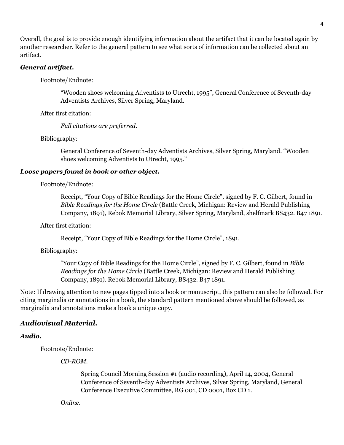Overall, the goal is to provide enough identifying information about the artifact that it can be located again by another researcher. Refer to the general pattern to see what sorts of information can be collected about an artifact.

## *General artifact.*

Footnote/Endnote:

"Wooden shoes welcoming Adventists to Utrecht, 1995", General Conference of Seventh-day Adventists Archives, Silver Spring, Maryland.

After first citation:

*Full citations are preferred.*

Bibliography:

General Conference of Seventh-day Adventists Archives, Silver Spring, Maryland. "Wooden shoes welcoming Adventists to Utrecht, 1995."

## *Loose papers found in book or other object.*

Footnote/Endnote:

Receipt, "Your Copy of Bible Readings for the Home Circle", signed by F. C. Gilbert, found in *Bible Readings for the Home Circle* (Battle Creek, Michigan: Review and Herald Publishing Company, 1891), Rebok Memorial Library, Silver Spring, Maryland, shelfmark BS432. B47 1891.

After first citation:

Receipt, "Your Copy of Bible Readings for the Home Circle", 1891.

Bibliography:

"Your Copy of Bible Readings for the Home Circle", signed by F. C. Gilbert, found in *Bible Readings for the Home Circle* (Battle Creek, Michigan: Review and Herald Publishing Company, 1891). Rebok Memorial Library, BS432. B47 1891.

Note: If drawing attention to new pages tipped into a book or manuscript, this pattern can also be followed. For citing marginalia or annotations in a book, the standard pattern mentioned above should be followed, as marginalia and annotations make a book a unique copy.

## *Audiovisual Material.*

*Audio.*

Footnote/Endnote:

*CD-ROM.*

Spring Council Morning Session #1 (audio recording), April 14, 2004, General Conference of Seventh-day Adventists Archives, Silver Spring, Maryland, General Conference Executive Committee, RG 001, CD 0001, Box CD 1.

*Online.*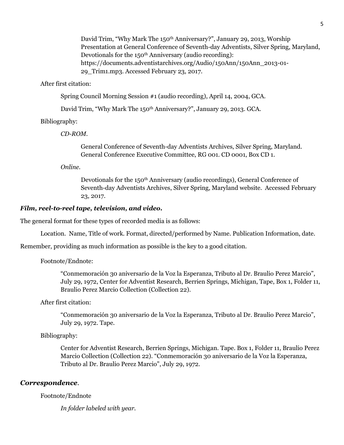David Trim, "Why Mark The 150<sup>th</sup> Anniversary?", January 29, 2013, Worship Presentation at General Conference of Seventh-day Adventists, Silver Spring, Maryland, Devotionals for the 150<sup>th</sup> Anniversary (audio recording): https://documents.adventistarchives.org/Audio/150Ann/150Ann\_2013-01- 29\_Trim1.mp3. Accessed February 23, 2017.

After first citation:

Spring Council Morning Session #1 (audio recording), April 14, 2004, GCA.

David Trim, "Why Mark The 150<sup>th</sup> Anniversary?", January 29, 2013. GCA.

Bibliography:

*CD-ROM.*

General Conference of Seventh-day Adventists Archives, Silver Spring, Maryland. General Conference Executive Committee, RG 001. CD 0001, Box CD 1.

*Online.*

Devotionals for the 150th Anniversary (audio recordings), General Conference of Seventh-day Adventists Archives, Silver Spring, Maryland website. Accessed February 23, 2017.

## *Film, reel-to-reel tape, television, and video.*

The general format for these types of recorded media is as follows:

Location. Name, Title of work. Format, directed/performed by Name. Publication Information, date.

Remember, providing as much information as possible is the key to a good citation.

#### Footnote/Endnote:

"Conmemoración 30 aniversario de la Voz la Esperanza, Tributo al Dr. Braulio Perez Marcio", July 29, 1972, Center for Adventist Research, Berrien Springs, Michigan, Tape, Box 1, Folder 11, Braulio Perez Marcio Collection (Collection 22).

### After first citation:

"Conmemoración 30 aniversario de la Voz la Esperanza, Tributo al Dr. Braulio Perez Marcio", July 29, 1972. Tape.

#### Bibliography:

Center for Adventist Research, Berrien Springs, Michigan. Tape. Box 1, Folder 11, Braulio Perez Marcio Collection (Collection 22). "Conmemoración 30 aniversario de la Voz la Esperanza, Tributo al Dr. Braulio Perez Marcio", July 29, 1972.

## *Correspondence*.

Footnote/Endnote

*In folder labeled with year.*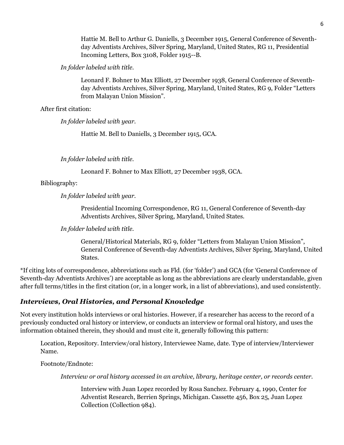Hattie M. Bell to Arthur G. Daniells, 3 December 1915, General Conference of Seventhday Adventists Archives, Silver Spring, Maryland, United States, RG 11, Presidential Incoming Letters, Box 3108, Folder 1915--B.

*In folder labeled with title.*

Leonard F. Bohner to Max Elliott, 27 December 1938, General Conference of Seventhday Adventists Archives, Silver Spring, Maryland, United States, RG 9, Folder "Letters from Malayan Union Mission".

After first citation:

*In folder labeled with year.*

Hattie M. Bell to Daniells, 3 December 1915, GCA.

*In folder labeled with title.*

Leonard F. Bohner to Max Elliott, 27 December 1938, GCA.

Bibliography:

*In folder labeled with year.*

Presidential Incoming Correspondence, RG 11, General Conference of Seventh-day Adventists Archives, Silver Spring, Maryland, United States.

*In folder labeled with title.*

General/Historical Materials, RG 9, folder "Letters from Malayan Union Mission", General Conference of Seventh-day Adventists Archives, Silver Spring, Maryland, United States.

\*If citing lots of correspondence, abbreviations such as Fld. (for 'folder') and GCA (for 'General Conference of Seventh-day Adventists Archives') are acceptable as long as the abbreviations are clearly understandable, given after full terms/titles in the first citation (or, in a longer work, in a list of abbreviations), and used consistently.

## *Interviews, Oral Histories, and Personal Knowledge*

Not every institution holds interviews or oral histories. However, if a researcher has access to the record of a previously conducted oral history or interview, or conducts an interview or formal oral history, and uses the information obtained therein, they should and must cite it, generally following this pattern:

Location, Repository. Interview/oral history, Interviewee Name, date. Type of interview/Interviewer Name.

Footnote/Endnote:

*Interview or oral history accessed in an archive, library, heritage center, or records center.*

Interview with Juan Lopez recorded by Rosa Sanchez. February 4, 1990, Center for Adventist Research, Berrien Springs, Michigan. Cassette 456, Box 25, Juan Lopez Collection (Collection 984).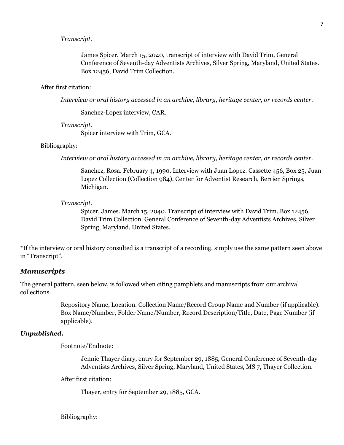## *Transcript.*

James Spicer. March 15, 2040, transcript of interview with David Trim, General Conference of Seventh-day Adventists Archives, Silver Spring, Maryland, United States. Box 12456, David Trim Collection.

## After first citation:

*Interview or oral history accessed in an archive, library, heritage center, or records center.*

Sanchez-Lopez interview, CAR.

#### *Transcript.*

Spicer interview with Trim, GCA.

## Bibliography:

*Interview or oral history accessed in an archive, library, heritage center, or records center.*

Sanchez, Rosa. February 4, 1990. Interview with Juan Lopez. Cassette 456, Box 25, Juan Lopez Collection (Collection 984). Center for Adventist Research, Berrien Springs, Michigan.

#### *Transcript.*

Spicer, James. March 15, 2040. Transcript of interview with David Trim. Box 12456, David Trim Collection. General Conference of Seventh-day Adventists Archives, Silver Spring, Maryland, United States.

\*If the interview or oral history consulted is a transcript of a recording, simply use the same pattern seen above in "Transcript".

#### *Manuscripts*

The general pattern, seen below, is followed when citing pamphlets and manuscripts from our archival collections.

> Repository Name, Location. Collection Name/Record Group Name and Number (if applicable). Box Name/Number, Folder Name/Number, Record Description/Title, Date, Page Number (if applicable).

## *Unpublished.*

Footnote/Endnote:

Jennie Thayer diary, entry for September 29, 1885, General Conference of Seventh-day Adventists Archives, Silver Spring, Maryland, United States, MS 7, Thayer Collection.

After first citation:

Thayer, entry for September 29, 1885, GCA.

Bibliography: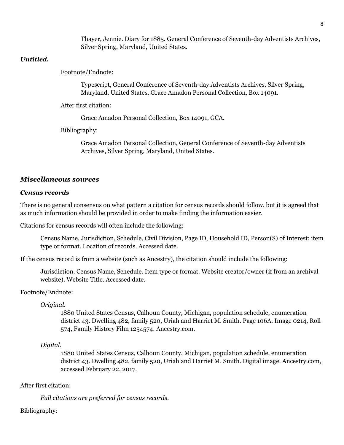Thayer, Jennie. Diary for 1885. General Conference of Seventh-day Adventists Archives, Silver Spring, Maryland, United States.

## *Untitled.*

Footnote/Endnote:

Typescript, General Conference of Seventh-day Adventists Archives, Silver Spring, Maryland, United States, Grace Amadon Personal Collection, Box 14091.

After first citation:

Grace Amadon Personal Collection, Box 14091, GCA.

Bibliography:

Grace Amadon Personal Collection, General Conference of Seventh-day Adventists Archives, Silver Spring, Maryland, United States.

## *Miscellaneous sources*

## *Census records*

There is no general consensus on what pattern a citation for census records should follow, but it is agreed that as much information should be provided in order to make finding the information easier.

Citations for census records will often include the following:

Census Name, Jurisdiction, Schedule, Civil Division, Page ID, Household ID, Person(S) of Interest; item type or format. Location of records. Accessed date.

If the census record is from a website (such as Ancestry), the citation should include the following:

Jurisdiction. Census Name, Schedule. Item type or format. Website creator/owner (if from an archival website). Website Title. Accessed date.

Footnote/Endnote:

*Original.*

1880 United States Census, Calhoun County, Michigan, population schedule, enumeration district 43. Dwelling 482, family 520, Uriah and Harriet M. Smith. Page 106A. Image 0214, Roll 574, Family History Film 1254574. Ancestry.com.

## *Digital.*

1880 United States Census, Calhoun County, Michigan, population schedule, enumeration district 43. Dwelling 482, family 520, Uriah and Harriet M. Smith. Digital image. Ancestry.com, accessed February 22, 2017.

## After first citation:

*Full citations are preferred for census records.*

## Bibliography: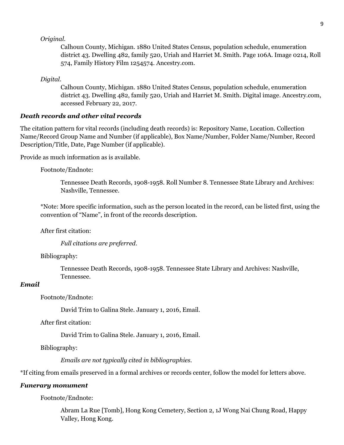## *Original.*

Calhoun County, Michigan. 1880 United States Census, population schedule, enumeration district 43. Dwelling 482, family 520, Uriah and Harriet M. Smith. Page 106A. Image 0214, Roll 574, Family History Film 1254574. Ancestry.com.

#### *Digital.*

Calhoun County, Michigan. 1880 United States Census, population schedule, enumeration district 43. Dwelling 482, family 520, Uriah and Harriet M. Smith. Digital image. Ancestry.com, accessed February 22, 2017.

## *Death records and other vital records*

The citation pattern for vital records (including death records) is: Repository Name, Location. Collection Name/Record Group Name and Number (if applicable), Box Name/Number, Folder Name/Number, Record Description/Title, Date, Page Number (if applicable).

Provide as much information as is available.

## Footnote/Endnote:

Tennessee Death Records, 1908-1958. Roll Number 8. Tennessee State Library and Archives: Nashville, Tennessee.

\*Note: More specific information, such as the person located in the record, can be listed first, using the convention of "Name", in front of the records description.

### After first citation:

*Full citations are preferred.*

#### Bibliography:

Tennessee Death Records, 1908-1958. Tennessee State Library and Archives: Nashville, Tennessee.

## *Email*

Footnote/Endnote:

David Trim to Galina Stele. January 1, 2016, Email.

After first citation:

David Trim to Galina Stele. January 1, 2016, Email.

Bibliography:

*Emails are not typically cited in bibliographies.*

\*If citing from emails preserved in a formal archives or records center, follow the model for letters above.

#### *Funerary monument*

Footnote/Endnote:

Abram La Rue [Tomb], Hong Kong Cemetery, Section 2, 1J Wong Nai Chung Road, Happy Valley, Hong Kong.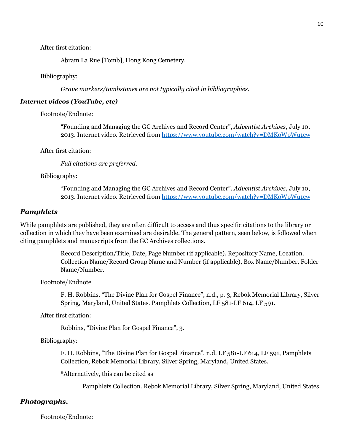After first citation:

Abram La Rue [Tomb], Hong Kong Cemetery.

Bibliography:

*Grave markers/tombstones are not typically cited in bibliographies.*

## *Internet videos (YouTube, etc)*

Footnote/Endnote:

"Founding and Managing the GC Archives and Record Center", *Adventist Archives*, July 10, 2013. Internet video. Retrieved from<https://www.youtube.com/watch?v=DMKoWpWu1cw>

After first citation:

*Full citations are preferred*.

Bibliography:

"Founding and Managing the GC Archives and Record Center", *Adventist Archives*, July 10, 2013. Internet video. Retrieved from<https://www.youtube.com/watch?v=DMKoWpWu1cw>

#### *Pamphlets*

While pamphlets are published, they are often difficult to access and thus specific citations to the library or collection in which they have been examined are desirable. The general pattern, seen below, is followed when citing pamphlets and manuscripts from the GC Archives collections.

> Record Description/Title, Date, Page Number (if applicable), Repository Name, Location. Collection Name/Record Group Name and Number (if applicable), Box Name/Number, Folder Name/Number.

Footnote/Endnote

F. H. Robbins, "The Divine Plan for Gospel Finance", n.d., p. 3, Rebok Memorial Library, Silver Spring, Maryland, United States. Pamphlets Collection, LF 581-LF 614, LF 591.

After first citation:

Robbins, "Divine Plan for Gospel Finance", 3.

Bibliography:

F. H. Robbins, "The Divine Plan for Gospel Finance", n.d. LF 581-LF 614, LF 591, Pamphlets Collection, Rebok Memorial Library, Silver Spring, Maryland, United States.

\*Alternatively, this can be cited as

Pamphlets Collection. Rebok Memorial Library, Silver Spring, Maryland, United States.

## *Photographs.*

Footnote/Endnote: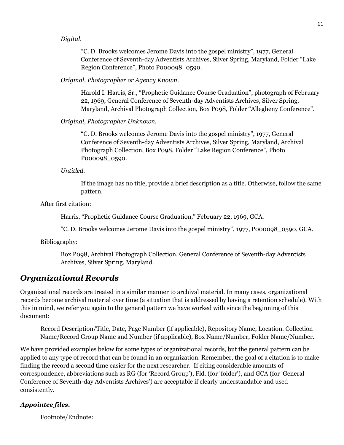## *Digital*.

"C. D. Brooks welcomes Jerome Davis into the gospel ministry", 1977, General Conference of Seventh-day Adventists Archives, Silver Spring, Maryland, Folder "Lake Region Conference", Photo P000098\_0590.

## *Original, Photographer or Agency Known.*

Harold I. Harris, Sr., "Prophetic Guidance Course Graduation", photograph of February 22, 1969, General Conference of Seventh-day Adventists Archives, Silver Spring, Maryland, Archival Photograph Collection, Box P098, Folder "Allegheny Conference".

## *Original, Photographer Unknown.*

"C. D. Brooks welcomes Jerome Davis into the gospel ministry", 1977, General Conference of Seventh-day Adventists Archives, Silver Spring, Maryland, Archival Photograph Collection, Box P098, Folder "Lake Region Conference", Photo P000098\_0590.

*Untitled.*

If the image has no title, provide a brief description as a title. Otherwise, follow the same pattern.

After first citation:

Harris, "Prophetic Guidance Course Graduation," February 22, 1969, GCA.

"C. D. Brooks welcomes Jerome Davis into the gospel ministry", 1977, P000098\_0590, GCA.

Bibliography:

Box P098, Archival Photograph Collection. General Conference of Seventh-day Adventists Archives, Silver Spring, Maryland.

## *Organizational Records*

Organizational records are treated in a similar manner to archival material. In many cases, organizational records become archival material over time (a situation that is addressed by having a retention schedule). With this in mind, we refer you again to the general pattern we have worked with since the beginning of this document:

Record Description/Title, Date, Page Number (if applicable), Repository Name, Location. Collection Name/Record Group Name and Number (if applicable), Box Name/Number, Folder Name/Number.

We have provided examples below for some types of organizational records, but the general pattern can be applied to any type of record that can be found in an organization. Remember, the goal of a citation is to make finding the record a second time easier for the next researcher. If citing considerable amounts of correspondence, abbreviations such as RG (for 'Record Group'), Fld. (for 'folder'), and GCA (for 'General Conference of Seventh-day Adventists Archives') are acceptable if clearly understandable and used consistently.

## *Appointee files.*

Footnote/Endnote: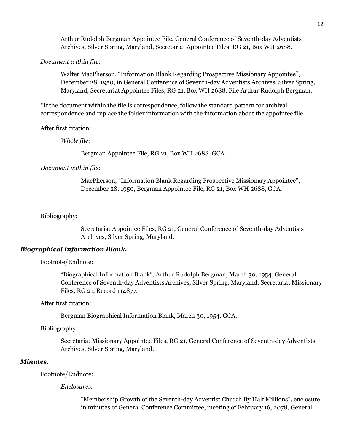Arthur Rudolph Bergman Appointee File, General Conference of Seventh-day Adventists Archives, Silver Spring, Maryland, Secretariat Appointee Files, RG 21, Box WH 2688.

#### *Document within file:*

Walter MacPherson, "Information Blank Regarding Prospective Missionary Appointee", December 28, 1950, in General Conference of Seventh-day Adventists Archives, Silver Spring, Maryland, Secretariat Appointee Files, RG 21, Box WH 2688, File Arthur Rudolph Bergman.

\*If the document within the file is correspondence, follow the standard pattern for archival correspondence and replace the folder information with the information about the appointee file.

After first citation:

*Whole file:*

Bergman Appointee File, RG 21, Box WH 2688, GCA.

#### *Document within file:*

MacPherson, "Information Blank Regarding Prospective Missionary Appointee", December 28, 1950, Bergman Appointee File, RG 21, Box WH 2688, GCA.

#### Bibliography:

Secretariat Appointee Files, RG 21, General Conference of Seventh-day Adventists Archives, Silver Spring, Maryland.

#### *Biographical Information Blank.*

Footnote/Endnote:

"Biographical Information Blank", Arthur Rudolph Bergman, March 30, 1954, General Conference of Seventh-day Adventists Archives, Silver Spring, Maryland, Secretariat Missionary Files, RG 21, Record 114877.

#### After first citation:

Bergman Biographical Information Blank, March 30, 1954. GCA.

## Bibliography:

Secretariat Missionary Appointee Files, RG 21, General Conference of Seventh-day Adventists Archives, Silver Spring, Maryland.

#### *Minutes.*

Footnote/Endnote:

#### *Enclosures.*

"Membership Growth of the Seventh-day Adventist Church By Half Millions", enclosure in minutes of General Conference Committee, meeting of February 16, 2078, General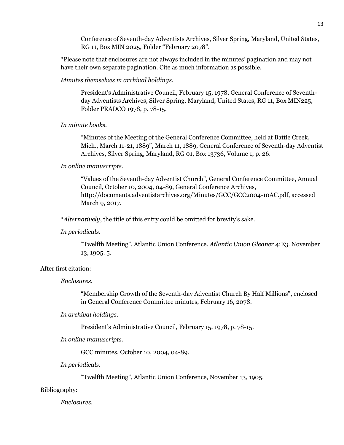Conference of Seventh-day Adventists Archives, Silver Spring, Maryland, United States, RG 11, Box MIN 2025, Folder "February 2078".

\*Please note that enclosures are not always included in the minutes' pagination and may not have their own separate pagination. Cite as much information as possible.

*Minutes themselves in archival holdings.*

President's Administrative Council, February 15, 1978, General Conference of Seventhday Adventists Archives, Silver Spring, Maryland, United States, RG 11, Box MIN225, Folder PRADCO 1978, p. 78-15.

*In minute books.*

"Minutes of the Meeting of the General Conference Committee, held at Battle Creek, Mich., March 11-21, 1889", March 11, 1889, General Conference of Seventh-day Adventist Archives, Silver Spring, Maryland, RG 01, Box 13736, Volume 1, p. 26.

*In online manuscripts.*

"Values of the Seventh-day Adventist Church", General Conference Committee, Annual Council, October 10, 2004, 04-89, General Conference Archives, http://documents.adventistarchives.org/Minutes/GCC/GCC2004-10AC.pdf, accessed March 9, 2017.

\**Alternatively*, the title of this entry could be omitted for brevity's sake.

*In periodicals.*

"Twelfth Meeting", Atlantic Union Conference. *Atlantic Union Gleaner* 4:E3. November 13, 1905. 5.

After first citation:

*Enclosures.*

"Membership Growth of the Seventh-day Adventist Church By Half Millions", enclosed in General Conference Committee minutes, February 16, 2078.

*In archival holdings.*

President's Administrative Council, February 15, 1978, p. 78-15.

*In online manuscripts.*

GCC minutes, October 10, 2004, 04-89.

*In periodicals.*

"Twelfth Meeting", Atlantic Union Conference, November 13, 1905.

Bibliography:

*Enclosures.*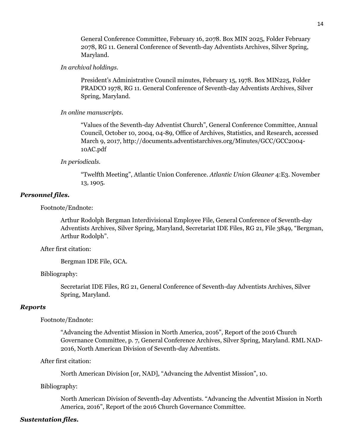General Conference Committee, February 16, 2078. Box MIN 2025, Folder February 2078, RG 11. General Conference of Seventh-day Adventists Archives, Silver Spring, Maryland.

### *In archival holdings.*

President's Administrative Council minutes, February 15, 1978. Box MIN225, Folder PRADCO 1978, RG 11. General Conference of Seventh-day Adventists Archives, Silver Spring, Maryland.

#### *In online manuscripts.*

"Values of the Seventh-day Adventist Church", General Conference Committee, Annual Council, October 10, 2004, 04-89, Office of Archives, Statistics, and Research, accessed March 9, 2017, http://documents.adventistarchives.org/Minutes/GCC/GCC2004- 10AC.pdf

## *In periodicals.*

"Twelfth Meeting", Atlantic Union Conference. *Atlantic Union Gleaner* 4:E3. November 13, 1905.

## *Personnel files.*

Footnote/Endnote:

Arthur Rodolph Bergman Interdivisional Employee File, General Conference of Seventh-day Adventists Archives, Silver Spring, Maryland, Secretariat IDE Files, RG 21, File 3849, "Bergman, Arthur Rodolph".

After first citation:

Bergman IDE File, GCA.

Bibliography:

Secretariat IDE Files, RG 21, General Conference of Seventh-day Adventists Archives, Silver Spring, Maryland.

#### *Reports*

#### Footnote/Endnote:

"Advancing the Adventist Mission in North America, 2016", Report of the 2016 Church Governance Committee, p. 7, General Conference Archives, Silver Spring, Maryland. RML NAD-2016, North American Division of Seventh-day Adventists.

After first citation:

North American Division [or, NAD], "Advancing the Adventist Mission", 10.

Bibliography:

North American Division of Seventh-day Adventists. "Advancing the Adventist Mission in North America, 2016", Report of the 2016 Church Governance Committee.

#### *Sustentation files.*